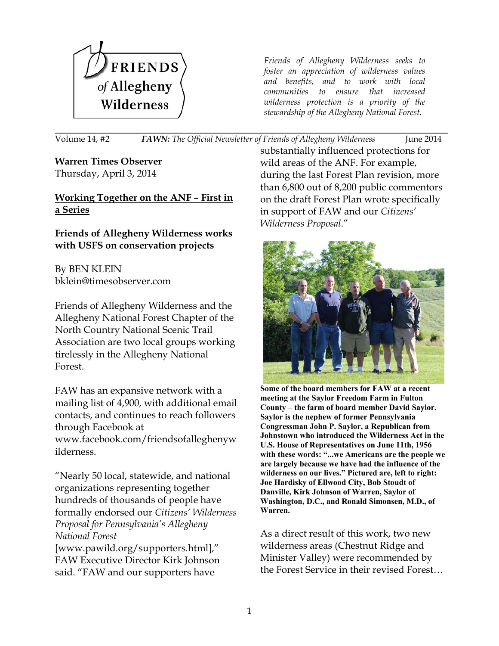

*Friends of Allegheny Wilderness seeks to foster an appreciation of wilderness values and benefits, and to work with local communities to ensure that increased wilderness protection is a priority of the stewardship of the Allegheny National Forest.*

\_\_\_\_\_\_\_\_\_\_\_\_\_\_\_\_\_\_\_\_\_\_\_\_\_\_\_\_\_\_\_\_\_\_\_\_\_\_\_\_\_\_\_\_\_\_\_\_\_\_\_\_\_\_\_\_\_\_\_\_\_\_\_\_\_\_\_\_\_\_\_\_\_\_\_\_\_\_\_\_\_\_\_\_\_\_\_\_\_\_\_\_\_\_\_\_\_\_\_\_\_\_\_\_\_\_\_\_\_\_\_\_\_\_\_\_\_\_\_\_\_\_\_\_\_\_\_\_\_\_\_\_\_\_\_\_\_\_\_\_\_\_\_\_\_\_\_\_\_\_\_\_\_\_\_\_\_\_\_\_\_\_\_\_\_\_\_\_\_\_\_\_\_\_\_\_\_\_\_\_\_\_\_\_\_\_\_\_\_\_\_\_\_\_\_\_\_\_\_\_\_\_\_\_\_\_\_\_\_\_\_\_\_\_\_\_\_\_\_\_\_\_\_\_\_\_\_\_\_\_\_\_\_\_\_\_\_\_\_\_\_ Volume 14, #2 *FAWN: The Official Newsletter of Friends of Allegheny Wilderness* June 2014

**Warren Times Observer** Thursday, April 3, 2014

## **Working Together on the ANF – First in a Series**

## **Friends of Allegheny Wilderness works with USFS on conservation projects**

By BEN KLEIN [bklein@timesobserver.com](file://localhost/Users/newkirkjohnson/Downloads/bklein@timesobserver.com)

Friends of Allegheny Wilderness and the Allegheny National Forest Chapter of the North Country National Scenic Trail Association are two local groups working tirelessly in the Allegheny National Forest.

FAW has an expansive network with a mailing list of 4,900, with additional email contacts, and continues to reach followers through Facebook at [www.facebook.com/friendsofalleghenyw](http://www.facebook.com/friendsofalleghenywilderness) [ilderness.](http://www.facebook.com/friendsofalleghenywilderness)

"Nearly 50 local, statewide, and national organizations representing together hundreds of thousands of people have formally endorsed our *Citizens' Wilderness Proposal for Pennsylvania's Allegheny National Forest*

[\[www.pawild.org/supporters.html\]](http://www.pawild.org/supporters.html)," FAW Executive Director Kirk Johnson said. "FAW and our supporters have

substantially influenced protections for wild areas of the ANF. For example, during the last Forest Plan revision, more than 6,800 out of 8,200 public commentors on the draft Forest Plan wrote specifically in support of FAW and our *Citizens' Wilderness Proposal*."



**Some of the board members for FAW at a recent meeting at the Saylor Freedom Farm in Fulton County – the farm of board member David Saylor. Saylor is the nephew of former Pennsylvania Congressman John P. Saylor, a Republican from Johnstown who introduced the Wilderness Act in the U.S. House of Representatives on June 11th, 1956 with these words: "...we Americans are the people we are largely because we have had the influence of the wilderness on our lives." Pictured are, left to right: Joe Hardisky of Ellwood City, Bob Stoudt of Danville, Kirk Johnson of Warren, Saylor of Washington, D.C., and Ronald Simonsen, M.D., of Warren.**

As a direct result of this work, two new wilderness areas (Chestnut Ridge and Minister Valley) were recommended by the Forest Service in their revised Forest…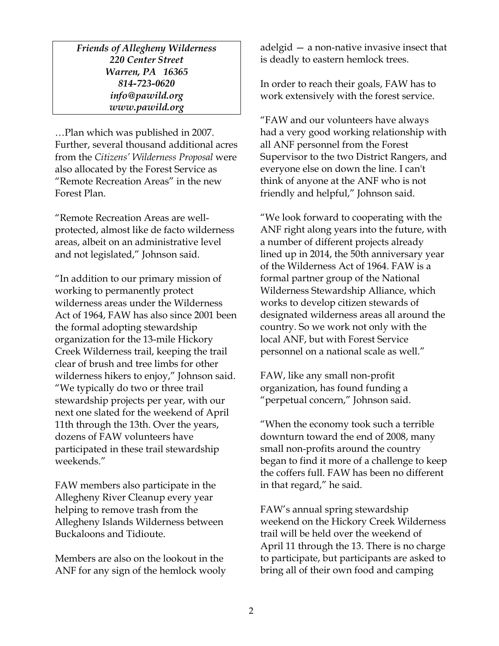*Friends of Allegheny Wilderness 220 Center Street Warren, PA 16365* 814-723-0620 *[info@pawild.org](mailto:info@pawild.org) www.pawild.org*

…Plan which was published in 2007. Further, several thousand additional acres from the *Citizens' Wilderness Proposal* were also allocated by the Forest Service as "Remote Recreation Areas" in the new Forest Plan.

"Remote Recreation Areas are wellprotected, almost like de facto wilderness areas, albeit on an administrative level and not legislated," Johnson said.

"In addition to our primary mission of working to permanently protect wilderness areas under the Wilderness Act of 1964, FAW has also since 2001 been the formal adopting stewardship organization for the 13-mile Hickory Creek Wilderness trail, keeping the trail clear of brush and tree limbs for other wilderness hikers to enjoy," Johnson said. "We typically do two or three trail stewardship projects per year, with our next one slated for the weekend of April 11th through the 13th. Over the years, dozens of FAW volunteers have participated in these trail stewardship weekends."

FAW members also participate in the Allegheny River Cleanup every year helping to remove trash from the Allegheny Islands Wilderness between Buckaloons and Tidioute.

Members are also on the lookout in the ANF for any sign of the hemlock wooly

adelgid  $-$  a non-native invasive insect that is deadly to eastern hemlock trees.

In order to reach their goals, FAW has to work extensively with the forest service.

"FAW and our volunteers have always had a very good working relationship with all ANF personnel from the Forest Supervisor to the two District Rangers, and everyone else on down the line. I can't think of anyone at the ANF who is not friendly and helpful," Johnson said.

"We look forward to cooperating with the ANF right along years into the future, with a number of different projects already lined up in 2014, the 50th anniversary year of the Wilderness Act of 1964. FAW is a formal partner group of the National Wilderness Stewardship Alliance, which works to develop citizen stewards of designated wilderness areas all around the country. So we work not only with the local ANF, but with Forest Service personnel on a national scale as well."

FAW, like any small non-profit organization, has found funding a "perpetual concern," Johnson said.

"When the economy took such a terrible downturn toward the end of 2008, many small non-profits around the country began to find it more of a challenge to keep the coffers full. FAW has been no different in that regard," he said.

FAW's annual spring stewardship weekend on the Hickory Creek Wilderness trail will be held over the weekend of April 11 through the 13. There is no charge to participate, but participants are asked to bring all of their own food and camping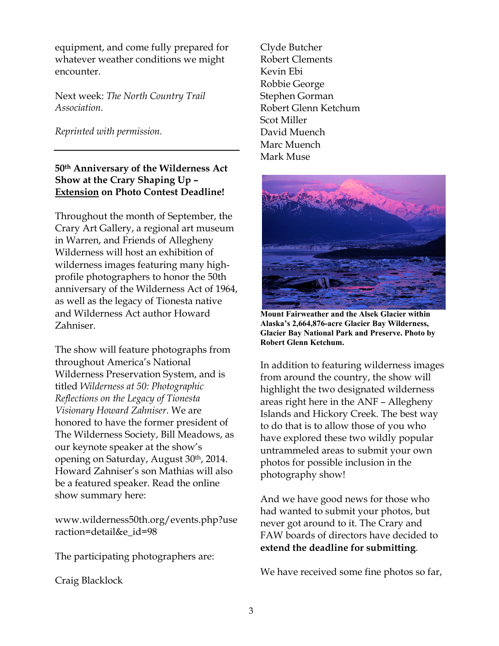equipment, and come fully prepared for whatever weather conditions we might encounter.

Next week: *The North Country Trail Association.*

*Reprinted with permission.*

## **50th Anniversary of the Wilderness Act Show at the Crary Shaping Up – Extension on Photo Contest Deadline!**

Throughout the month of September, the Crary Art Gallery, a regional art museum in Warren, and Friends of Allegheny Wilderness will host an exhibition of wilderness images featuring many highprofile photographers to honor the 50th anniversary of the Wilderness Act of 1964, as well as the legacy of Tionesta native and Wilderness Act author Howard Zahniser.

The show will feature photographs from throughout America's National Wilderness Preservation System, and is titled *Wilderness at 50: Photographic Reflections on the Legacy of Tionesta Visionary Howard Zahniser*. We are honored to have the former president of The Wilderness Society, Bill Meadows, as our keynote speaker at the show's opening on Saturday, August 30th, 2014. Howard Zahniser's son Mathias will also be a featured speaker. Read the online show summary here:

[www.wilderness50th.org/events.php?use](http://www.wilderness50th.org/events.php?useraction=detail&e_id=98) [raction=detail&e\\_id=98](http://www.wilderness50th.org/events.php?useraction=detail&e_id=98)

The participating photographers are:

Craig Blacklock

Clyde Butcher Robert Clements Kevin Ebi Robbie George Stephen Gorman Robert Glenn Ketchum Scot Miller David Muench Marc Muench Mark Muse



**Mount Fairweather and the Alsek Glacier within Alaska's 2,664,876-acre Glacier Bay Wilderness, Glacier Bay National Park and Preserve. Photo by Robert Glenn Ketchum.**

In addition to featuring wilderness images from around the country, the show will highlight the two designated wilderness areas right here in the ANF – Allegheny Islands and Hickory Creek. The best way to do that is to allow those of you who have explored these two wildly popular untrammeled areas to submit your own photos for possible inclusion in the photography show!

And we have good news for those who had wanted to submit your photos, but never got around to it. The Crary and FAW boards of directors have decided to **extend the deadline for submitting**.

We have received some fine photos so far,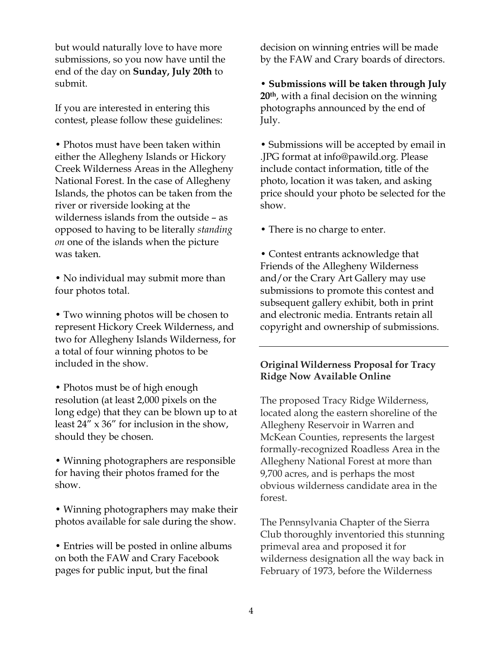but would naturally love to have more submissions, so you now have until the end of the day on **Sunday, July 20th** to submit.

If you are interested in entering this contest, please follow these guidelines:

• Photos must have been taken within either the Allegheny Islands or Hickory Creek Wilderness Areas in the Allegheny National Forest. In the case of Allegheny Islands, the photos can be taken from the river or riverside looking at the wilderness islands from the outside – as opposed to having to be literally *standing on* one of the islands when the picture was taken.

• No individual may submit more than four photos total.

• Two winning photos will be chosen to represent Hickory Creek Wilderness, and two for Allegheny Islands Wilderness, for a total of four winning photos to be included in the show.

• Photos must be of high enough resolution (at least 2,000 pixels on the long edge) that they can be blown up to at least 24" x 36" for inclusion in the show, should they be chosen.

• Winning photographers are responsible for having their photos framed for the show.

• Winning photographers may make their photos available for sale during the show.

• Entries will be posted in online albums on both the FAW and Crary Facebook pages for public input, but the final

decision on winning entries will be made by the FAW and Crary boards of directors.

**Submissions will be taken through July 20th**, with a final decision on the winning photographs announced by the end of July.

• Submissions will be accepted by email in .JPG format at [info@pawild.org.](file://localhost/Users/newkirkjohnson/Downloads/info@pawild.org) Please include contact information, title of the photo, location it was taken, and asking price should your photo be selected for the show.

• There is no charge to enter.

• Contest entrants acknowledge that Friends of the Allegheny Wilderness and/or the Crary Art Gallery may use submissions to promote this contest and subsequent gallery exhibit, both in print and electronic media. Entrants retain all copyright and ownership of submissions.

#### **Original Wilderness Proposal for Tracy Ridge Now Available Online**

The proposed Tracy Ridge Wilderness, located along the eastern shoreline of the Allegheny Reservoir in Warren and McKean Counties, represents the largest formally-recognized Roadless Area in the Allegheny National Forest at more than 9,700 acres, and is perhaps the most obvious wilderness candidate area in the forest.

The Pennsylvania Chapter of the Sierra Club thoroughly inventoried this stunning primeval area and proposed it for wilderness designation all the way back in February of 1973, before the Wilderness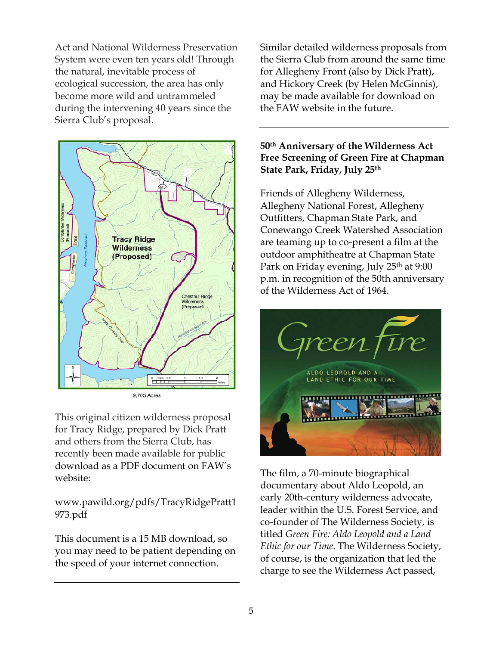Act and National Wilderness Preservation System were even ten years old! Through the natural, inevitable process of ecological succession, the area has only become more wild and untrammeled during the intervening 40 years since the Sierra Club's proposal.



This original citizen wilderness proposal for Tracy Ridge, prepared by Dick Pratt and others from the Sierra Club, has recently been made available for public download as a PDF document on FAW's website:

[www.pawild.org/pdfs/TracyRidgePratt1](http://www.pawild.org/pdfs/TracyRidgePratt1973.pdf) [973.pdf](http://www.pawild.org/pdfs/TracyRidgePratt1973.pdf)

This document is a 15 MB download, so you may need to be patient depending on the speed of your internet connection.

Similar detailed wilderness proposals from the Sierra Club from around the same time for Allegheny Front (also by Dick Pratt), and Hickory Creek (by Helen McGinnis), may be made available for download on the FAW website in the future.

#### **50th Anniversary of the Wilderness Act Free Screening of Green Fire at Chapman State Park, Friday, July 25th**

Friends of Allegheny Wilderness, Allegheny National Forest, Allegheny Outfitters, Chapman State Park, and Conewango Creek Watershed Association are teaming up to co-present a film at the outdoor amphitheatre at Chapman State Park on Friday evening, July 25<sup>th</sup> at 9:00 p.m. in recognition of the 50th anniversary of the Wilderness Act of 1964.



The film, a 70-minute biographical documentary about Aldo Leopold, an early 20th-century wilderness advocate, leader within the U.S. Forest Service, and co-founder of The Wilderness Society, is titled *Green Fire: Aldo Leopold and a Land Ethic for our Time*. The Wilderness Society, of course, is the organization that led the charge to see the Wilderness Act passed,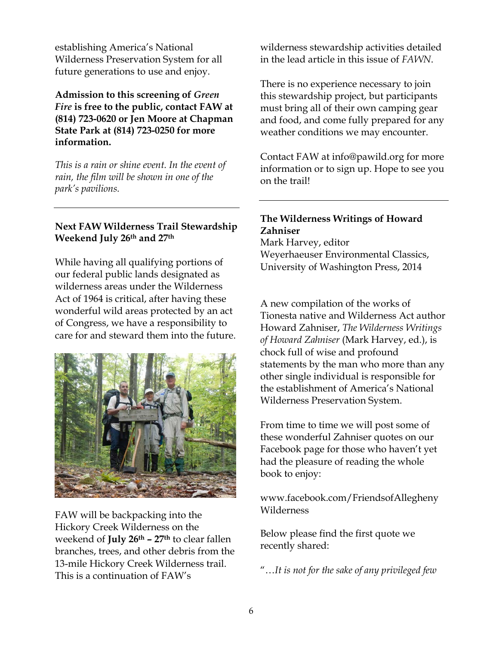establishing America's National Wilderness Preservation System for all future generations to use and enjoy.

#### **Admission to this screening of** *Green Fire* **is free to the public, contact FAW at (814) 723-0620 or Jen Moore at Chapman State Park at (814) 723-0250 for more information.**

*This is a rain or shine event. In the event of rain, the film will be shown in one of the park's pavilions.*

#### **Next FAW Wilderness Trail Stewardship Weekend July 26th and 27th**

While having all qualifying portions of our federal public lands designated as wilderness areas under the Wilderness Act of 1964 is critical, after having these wonderful wild areas protected by an act of Congress, we have a responsibility to care for and steward them into the future.



FAW will be backpacking into the Hickory Creek Wilderness on the weekend of **July 26th – 27th** to clear fallen branches, trees, and other debris from the 13-mile Hickory Creek Wilderness trail. This is a continuation of FAW's

wilderness stewardship activities detailed in the lead article in this issue of *FAWN*.

There is no experience necessary to join this stewardship project, but participants must bring all of their own camping gear and food, and come fully prepared for any weather conditions we may encounter.

Contact FAW at [info@pawild.org](file://localhost/Users/newkirkjohnson/Downloads/info@pawild.org) for more information or to sign up. Hope to see you on the trail!

# **The Wilderness Writings of Howard Zahniser**

Mark Harvey, editor Weyerhaeuser Environmental Classics, University of Washington Press, 2014

A new compilation of the works of Tionesta native and Wilderness Act author Howard Zahniser, *The Wilderness Writings of Howard Zahniser* (Mark Harvey, ed.), is chock full of wise and profound statements by the man who more than any other single individual is responsible for the establishment of America's National Wilderness Preservation System.

From time to time we will post some of these wonderful Zahniser quotes on our Facebook page for those who haven't yet had the pleasure of reading the whole book to enjoy:

www.facebook.com/FriendsofAllegheny Wilderness

Below please find the first quote we recently shared:

"…*It is not for the sake of any privileged few*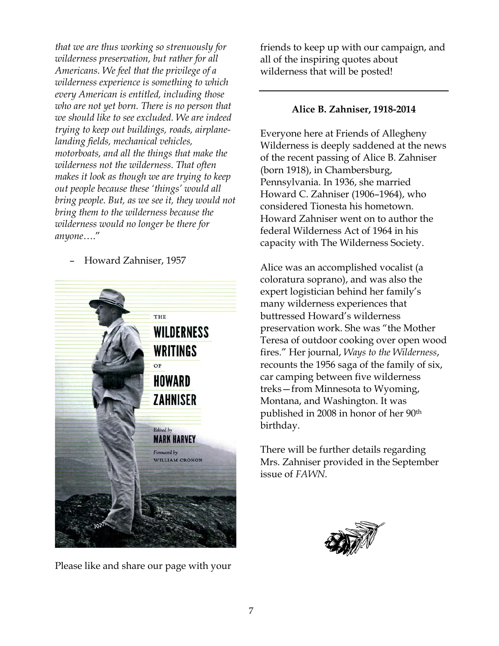*that we are thus working so strenuously for wilderness preservation, but rather for all Americans. We feel that the privilege of a wilderness experience is something to which every American is entitled, including those who are not yet born. There is no person that we should like to see excluded. We are indeed trying to keep out buildings, roads, airplanelanding fields, mechanical vehicles, motorboats, and all the things that make the wilderness not the wilderness. That often makes it look as though we are trying to keep out people because these 'things' would all bring people. But, as we see it, they would not bring them to the wilderness because the wilderness would no longer be there for anyone*…."

– Howard Zahniser, 1957



Please like and share our page with your

friends to keep up with our campaign, and all of the inspiring quotes about wilderness that will be posted!

#### **Alice B. Zahniser, 1918-2014**

Everyone here at Friends of Allegheny Wilderness is deeply saddened at the news of the recent passing of Alice B. Zahniser (born 1918), in Chambersburg, Pennsylvania. In 1936, she married Howard C. Zahniser (1906–1964), who considered Tionesta his hometown. Howard Zahniser went on to author the federal Wilderness Act of 1964 in his capacity with The Wilderness Society.

Alice was an accomplished vocalist (a coloratura soprano), and was also the expert logistician behind her family's many wilderness experiences that buttressed Howard's wilderness preservation work. She was "the Mother Teresa of outdoor cooking over open wood fires." Her journal, *Ways to the Wilderness*, recounts the 1956 saga of the family of six, car camping between five wilderness treks—from Minnesota to Wyoming, Montana, and Washington. It was published in 2008 in honor of her 90th birthday.

There will be further details regarding Mrs. Zahniser provided in the September issue of *FAWN*.